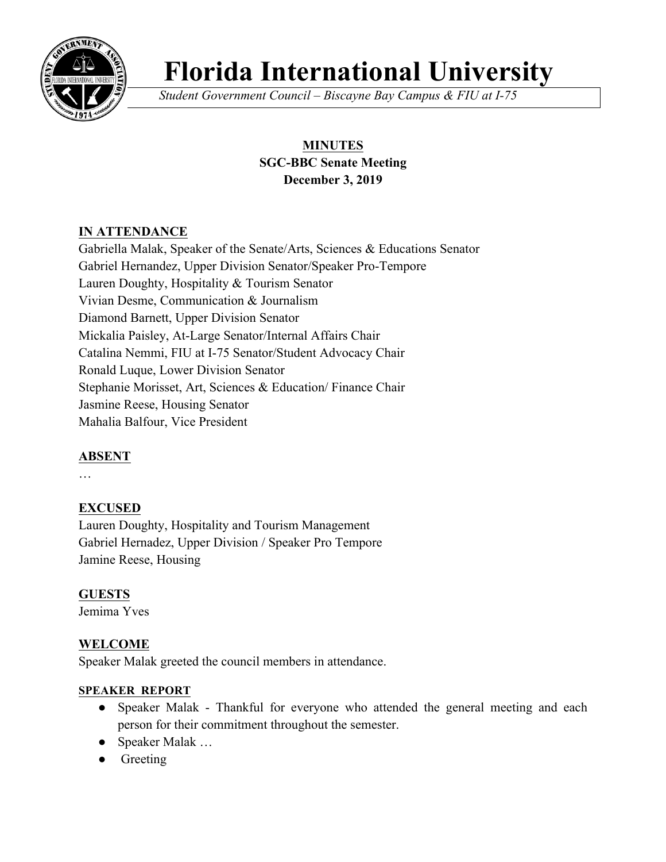

# **Florida International University**

*Student Government Council – Biscayne Bay Campus & FIU at I-75*

# **MINUTES SGC-BBC Senate Meeting December 3, 2019**

# **IN ATTENDANCE**

Gabriella Malak, Speaker of the Senate/Arts, Sciences & Educations Senator Gabriel Hernandez, Upper Division Senator/Speaker Pro-Tempore Lauren Doughty, Hospitality & Tourism Senator Vivian Desme, Communication & Journalism Diamond Barnett, Upper Division Senator Mickalia Paisley, At-Large Senator/Internal Affairs Chair Catalina Nemmi, FIU at I-75 Senator/Student Advocacy Chair Ronald Luque, Lower Division Senator Stephanie Morisset, Art, Sciences & Education/ Finance Chair Jasmine Reese, Housing Senator Mahalia Balfour, Vice President

# **ABSENT**

…

# **EXCUSED**

Lauren Doughty, Hospitality and Tourism Management Gabriel Hernadez, Upper Division / Speaker Pro Tempore Jamine Reese, Housing

## **GUESTS**

Jemima Yves

# **WELCOME**

Speaker Malak greeted the council members in attendance.

## **SPEAKER REPORT**

- Speaker Malak Thankful for everyone who attended the general meeting and each person for their commitment throughout the semester.
- Speaker Malak …
- Greeting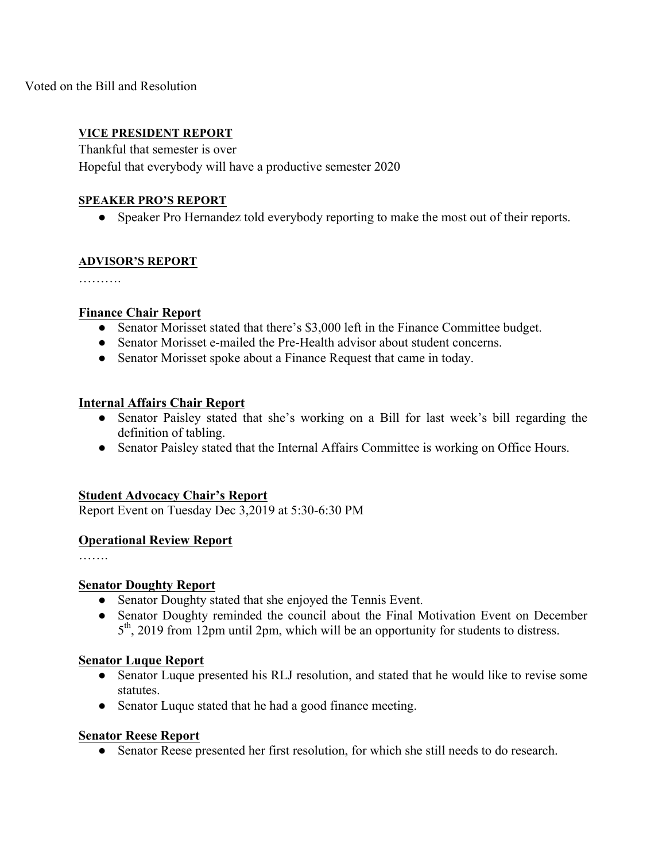Voted on the Bill and Resolution

## **VICE PRESIDENT REPORT**

Thankful that semester is over Hopeful that everybody will have a productive semester 2020

## **SPEAKER PRO'S REPORT**

• Speaker Pro Hernandez told everybody reporting to make the most out of their reports.

## **ADVISOR'S REPORT**

## **Finance Chair Report**

- Senator Morisset stated that there's \$3,000 left in the Finance Committee budget.
- Senator Morisset e-mailed the Pre-Health advisor about student concerns.
- Senator Morisset spoke about a Finance Request that came in today.

#### **Internal Affairs Chair Report**

- Senator Paisley stated that she's working on a Bill for last week's bill regarding the definition of tabling.
- Senator Paisley stated that the Internal Affairs Committee is working on Office Hours.

#### **Student Advocacy Chair's Report**

Report Event on Tuesday Dec 3,2019 at 5:30-6:30 PM

#### **Operational Review Report**

#### **Senator Doughty Report**

- Senator Doughty stated that she enjoyed the Tennis Event.
- Senator Doughty reminded the council about the Final Motivation Event on December 5<sup>th</sup>, 2019 from 12pm until 2pm, which will be an opportunity for students to distress.

#### **Senator Luque Report**

- Senator Luque presented his RLJ resolution, and stated that he would like to revise some statutes.
- Senator Luque stated that he had a good finance meeting.

#### **Senator Reese Report**

• Senator Reese presented her first resolution, for which she still needs to do research.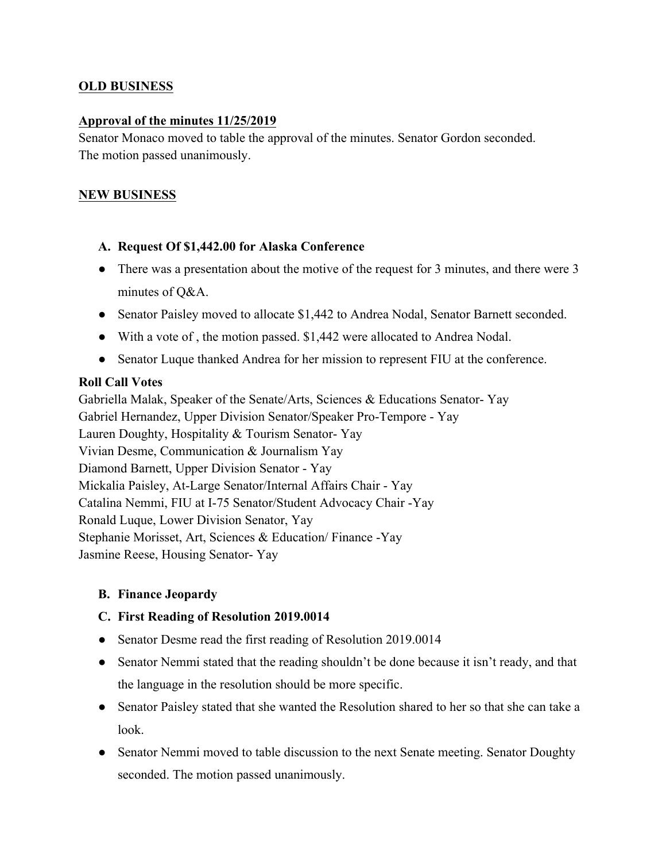## **OLD BUSINESS**

## **Approval of the minutes 11/25/2019**

Senator Monaco moved to table the approval of the minutes. Senator Gordon seconded. The motion passed unanimously.

## **NEW BUSINESS**

## **A. Request Of \$1,442.00 for Alaska Conference**

- There was a presentation about the motive of the request for 3 minutes, and there were 3 minutes of Q&A.
- Senator Paisley moved to allocate \$1,442 to Andrea Nodal, Senator Barnett seconded.
- With a vote of , the motion passed. \$1,442 were allocated to Andrea Nodal.
- Senator Luque thanked Andrea for her mission to represent FIU at the conference.

## **Roll Call Votes**

Gabriella Malak, Speaker of the Senate/Arts, Sciences & Educations Senator- Yay Gabriel Hernandez, Upper Division Senator/Speaker Pro-Tempore - Yay Lauren Doughty, Hospitality & Tourism Senator- Yay Vivian Desme, Communication & Journalism Yay Diamond Barnett, Upper Division Senator - Yay Mickalia Paisley, At-Large Senator/Internal Affairs Chair - Yay Catalina Nemmi, FIU at I-75 Senator/Student Advocacy Chair -Yay Ronald Luque, Lower Division Senator, Yay Stephanie Morisset, Art, Sciences & Education/ Finance -Yay Jasmine Reese, Housing Senator- Yay

## **B. Finance Jeopardy**

## **C. First Reading of Resolution 2019.0014**

- Senator Desme read the first reading of Resolution 2019.0014
- Senator Nemmi stated that the reading shouldn't be done because it isn't ready, and that the language in the resolution should be more specific.
- Senator Paisley stated that she wanted the Resolution shared to her so that she can take a look.
- Senator Nemmi moved to table discussion to the next Senate meeting. Senator Doughty seconded. The motion passed unanimously.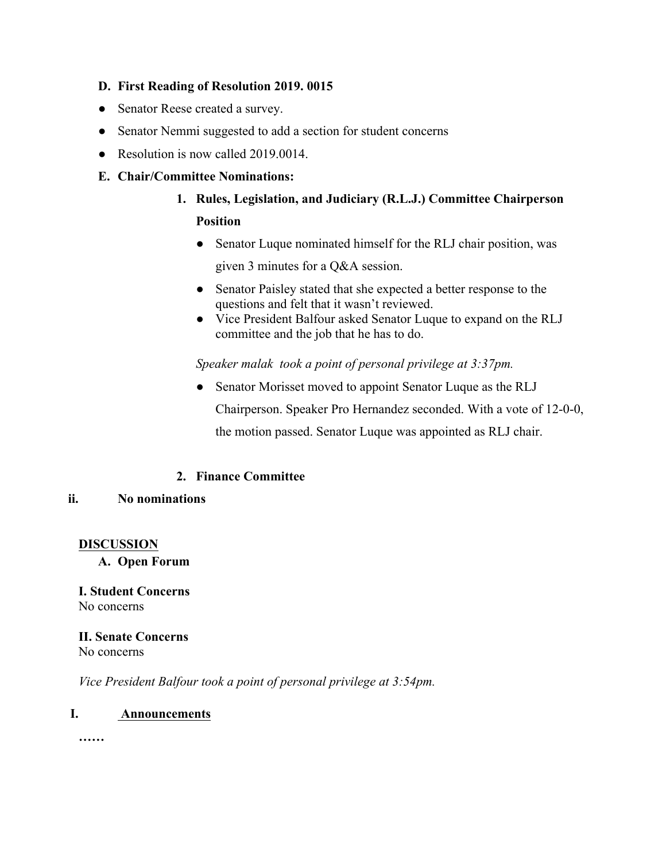## **D. First Reading of Resolution 2019. 0015**

- Senator Reese created a survey.
- Senator Nemmi suggested to add a section for student concerns
- Resolution is now called 2019.0014.

## **E. Chair/Committee Nominations:**

- **1. Rules, Legislation, and Judiciary (R.L.J.) Committee Chairperson Position**
	- Senator Luque nominated himself for the RLJ chair position, was given 3 minutes for a Q&A session.
	- Senator Paisley stated that she expected a better response to the questions and felt that it wasn't reviewed.
	- Vice President Balfour asked Senator Luque to expand on the RLJ committee and the job that he has to do.

*Speaker malak took a point of personal privilege at 3:37pm.*

• Senator Morisset moved to appoint Senator Luque as the RLJ Chairperson. Speaker Pro Hernandez seconded. With a vote of 12-0-0, the motion passed. Senator Luque was appointed as RLJ chair.

## **2. Finance Committee**

*Vice President Balfour took a point of personal privilege at 3:54pm.*

## **ii. No nominations**

#### **DISCUSSION**

#### **A. Open Forum**

## **I. Student Concerns** No concerns

#### **II. Senate Concerns** No concerns

## **I. Announcements**

**……**